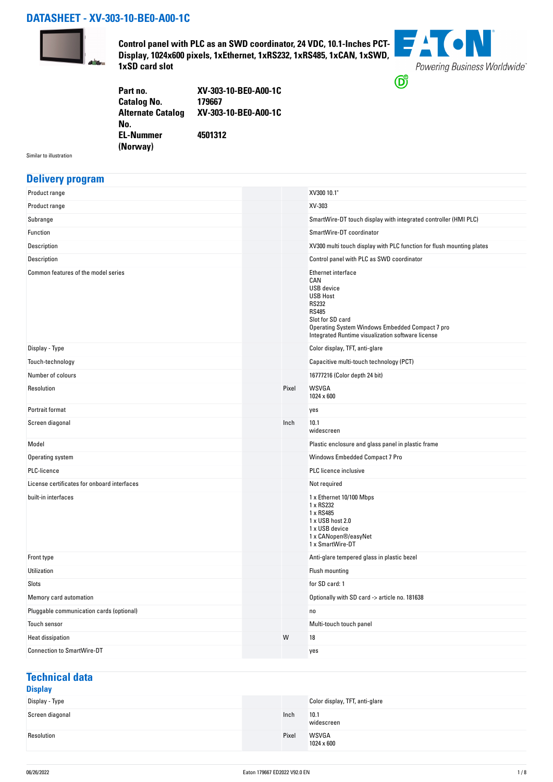## **DATASHEET - XV-303-10-BE0-A00-1C**



**Control panel with PLC as an SWD coordinator, 24 VDC, 10.1-Inches PCT-Display, 1024x600 pixels, 1xEthernet, 1xRS232, 1xRS485, 1xCAN, 1xSWD, 1xSD card slot**



| Part no.                 | XV-303-10-BE0-A00-1C |
|--------------------------|----------------------|
| <b>Catalog No.</b>       | 179667               |
| <b>Alternate Catalog</b> | XV-303-10-BE0-A00-1C |
| No.                      |                      |
| <b>EL-Nummer</b>         | 4501312              |
| (Norway)                 |                      |

Similar to illustration

### **Delivery program**

| Product range                               |       | XV300 10.1"                                                                                                                                                                                                            |
|---------------------------------------------|-------|------------------------------------------------------------------------------------------------------------------------------------------------------------------------------------------------------------------------|
| Product range                               |       | XV-303                                                                                                                                                                                                                 |
| Subrange                                    |       | SmartWire-DT touch display with integrated controller (HMI PLC)                                                                                                                                                        |
| Function                                    |       | SmartWire-DT coordinator                                                                                                                                                                                               |
| Description                                 |       | XV300 multi touch display with PLC function for flush mounting plates                                                                                                                                                  |
| Description                                 |       | Control panel with PLC as SWD coordinator                                                                                                                                                                              |
| Common features of the model series         |       | Ethernet interface<br>CAN<br>USB device<br><b>USB Host</b><br><b>RS232</b><br><b>RS485</b><br>Slot for SD card<br>Operating System Windows Embedded Compact 7 pro<br>Integrated Runtime visualization software license |
| Display - Type                              |       | Color display, TFT, anti-glare                                                                                                                                                                                         |
| Touch-technology                            |       | Capacitive multi-touch technology (PCT)                                                                                                                                                                                |
| Number of colours                           |       | 16777216 (Color depth 24 bit)                                                                                                                                                                                          |
| Resolution                                  | Pixel | <b>WSVGA</b><br>1024 x 600                                                                                                                                                                                             |
| Portrait format                             |       | yes                                                                                                                                                                                                                    |
| Screen diagonal                             | Inch  | 10.1<br>widescreen                                                                                                                                                                                                     |
| Model                                       |       | Plastic enclosure and glass panel in plastic frame                                                                                                                                                                     |
| Operating system                            |       | Windows Embedded Compact 7 Pro                                                                                                                                                                                         |
| PLC-licence                                 |       | PLC licence inclusive                                                                                                                                                                                                  |
| License certificates for onboard interfaces |       | Not required                                                                                                                                                                                                           |
| built-in interfaces                         |       | 1 x Ethernet 10/100 Mbps<br>1 x RS232<br>1 x RS485<br>1 x USB host 2.0<br>1 x USB device<br>1 x CANopen®/easyNet<br>1 x SmartWire-DT                                                                                   |
| Front type                                  |       | Anti-glare tempered glass in plastic bezel                                                                                                                                                                             |
| Utilization                                 |       | Flush mounting                                                                                                                                                                                                         |
| Slots                                       |       | for SD card: 1                                                                                                                                                                                                         |
| Memory card automation                      |       | Optionally with SD card -> article no. 181638                                                                                                                                                                          |
| Pluggable communication cards (optional)    |       | no                                                                                                                                                                                                                     |
| Touch sensor                                |       | Multi-touch touch panel                                                                                                                                                                                                |
| <b>Heat dissipation</b>                     | W     | 18                                                                                                                                                                                                                     |
| <b>Connection to SmartWire-DT</b>           |       | yes                                                                                                                                                                                                                    |
|                                             |       |                                                                                                                                                                                                                        |

#### **Technical data Display**

| pippiay         |       |                                |
|-----------------|-------|--------------------------------|
| Display - Type  |       | Color display, TFT, anti-glare |
| Screen diagonal | Inch  | 10.1<br>widescreen             |
| Resolution      | Pixel | WSVGA<br>1024 x 600            |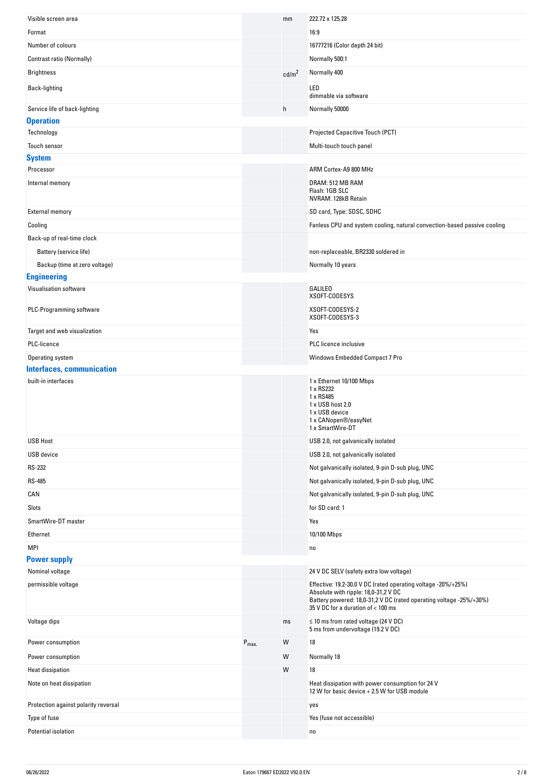| Visible screen area                  |                  | mm                | 222.72 x 125.28                                                                                                                                                                                                    |
|--------------------------------------|------------------|-------------------|--------------------------------------------------------------------------------------------------------------------------------------------------------------------------------------------------------------------|
| Format                               |                  |                   | 16:9                                                                                                                                                                                                               |
| Number of colours                    |                  |                   | 16777216 (Color depth 24 bit)                                                                                                                                                                                      |
| Contrast ratio (Normally)            |                  |                   | Normally 500:1                                                                                                                                                                                                     |
| <b>Brightness</b>                    |                  | cd/m <sup>2</sup> | Normally 400                                                                                                                                                                                                       |
| Back-lighting                        |                  |                   | LED<br>dimmable via software                                                                                                                                                                                       |
| Service life of back-lighting        |                  | h                 | Normally 50000                                                                                                                                                                                                     |
| <b>Operation</b>                     |                  |                   |                                                                                                                                                                                                                    |
| Technology                           |                  |                   | Projected Capacitive Touch (PCT)                                                                                                                                                                                   |
| Touch sensor                         |                  |                   | Multi-touch touch panel                                                                                                                                                                                            |
| <b>System</b>                        |                  |                   |                                                                                                                                                                                                                    |
| Processor                            |                  |                   | ARM Cortex-A9 800 MHz                                                                                                                                                                                              |
| Internal memory                      |                  |                   | DRAM: 512 MB RAM<br>Flash: 1GB SLC<br>NVRAM: 128kB Retain                                                                                                                                                          |
| <b>External memory</b>               |                  |                   | SD card, Type: SDSC, SDHC                                                                                                                                                                                          |
| Cooling                              |                  |                   | Fanless CPU and system cooling, natural convection-based passive cooling                                                                                                                                           |
| Back-up of real-time clock           |                  |                   |                                                                                                                                                                                                                    |
| Battery (service life)               |                  |                   | non-replaceable, BR2330 soldered in                                                                                                                                                                                |
| Backup (time at zero voltage)        |                  |                   | Normally 10 years                                                                                                                                                                                                  |
| <b>Engineering</b>                   |                  |                   |                                                                                                                                                                                                                    |
| Visualisation software               |                  |                   | <b>GALILEO</b><br>XSOFT-CODESYS                                                                                                                                                                                    |
| PLC-Programming software             |                  |                   | XSOFT-CODESYS-2<br>XSOFT-CODESYS-3                                                                                                                                                                                 |
| Target and web visualization         |                  |                   | Yes                                                                                                                                                                                                                |
| PLC-licence                          |                  |                   | PLC licence inclusive                                                                                                                                                                                              |
| Operating system                     |                  |                   | Windows Embedded Compact 7 Pro                                                                                                                                                                                     |
| <b>Interfaces, communication</b>     |                  |                   |                                                                                                                                                                                                                    |
|                                      |                  |                   |                                                                                                                                                                                                                    |
| built-in interfaces                  |                  |                   | 1 x Ethernet 10/100 Mbps<br>1 x RS232<br>1 x RS485<br>1 x USB host 2.0<br>1 x USB device<br>1 x CANopen®/easyNet<br>1 x SmartWire-DT                                                                               |
| <b>USB Host</b>                      |                  |                   | USB 2.0, not galvanically isolated                                                                                                                                                                                 |
| USB device                           |                  |                   | USB 2.0, not galvanically isolated                                                                                                                                                                                 |
| RS-232                               |                  |                   | Not galvanically isolated, 9-pin D-sub plug, UNC                                                                                                                                                                   |
| <b>RS-485</b>                        |                  |                   | Not galvanically isolated, 9-pin D-sub plug, UNC                                                                                                                                                                   |
| CAN                                  |                  |                   | Not galvanically isolated, 9-pin D-sub plug, UNC                                                                                                                                                                   |
| Slots                                |                  |                   | for SD card: 1                                                                                                                                                                                                     |
| SmartWire-DT master                  |                  |                   | Yes                                                                                                                                                                                                                |
| Ethernet                             |                  |                   | 10/100 Mbps                                                                                                                                                                                                        |
| MPI                                  |                  |                   | no                                                                                                                                                                                                                 |
| <b>Power supply</b>                  |                  |                   |                                                                                                                                                                                                                    |
| Nominal voltage                      |                  |                   | 24 V DC SELV (safety extra low voltage)                                                                                                                                                                            |
| permissible voltage                  |                  |                   | Effective: 19.2-30.0 V DC (rated operating voltage -20%/+25%)<br>Absolute with ripple: 18,0-31,2 V DC<br>Battery powered: 18,0-31,2 V DC (rated operating voltage -25%/+30%)<br>35 V DC for a duration of < 100 ms |
| Voltage dips                         |                  | ms                | $\leq$ 10 ms from rated voltage (24 V DC)<br>5 ms from undervoltage (19.2 V DC)                                                                                                                                    |
| Power consumption                    | $P_{\text{max}}$ | W                 | 18                                                                                                                                                                                                                 |
| Power consumption                    |                  | W                 | Normally 18                                                                                                                                                                                                        |
| <b>Heat dissipation</b>              |                  | W                 | 18                                                                                                                                                                                                                 |
| Note on heat dissipation             |                  |                   | Heat dissipation with power consumption for 24 V<br>12 W for basic device + 2.5 W for USB module                                                                                                                   |
| Protection against polarity reversal |                  |                   | yes                                                                                                                                                                                                                |
| Type of fuse                         |                  |                   | Yes (fuse not accessible)                                                                                                                                                                                          |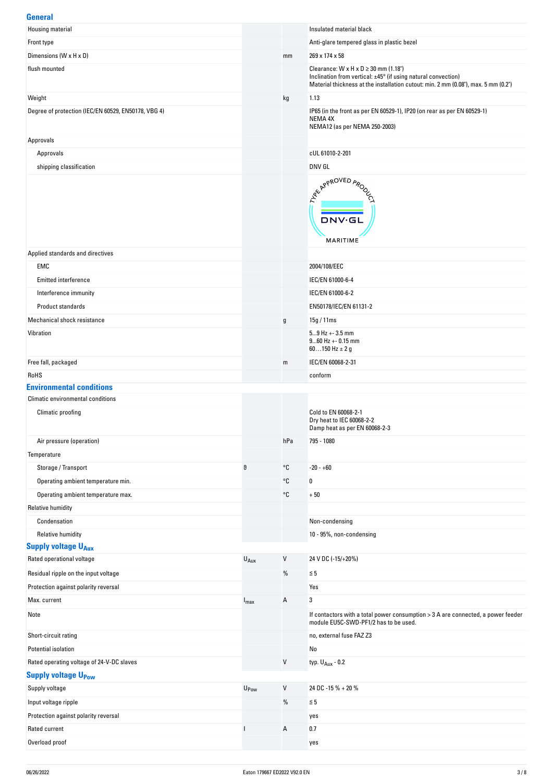### **General**

| uvnviui<br>Housing material                         |                  |                       | Insulated material black                                                                                                                            |
|-----------------------------------------------------|------------------|-----------------------|-----------------------------------------------------------------------------------------------------------------------------------------------------|
| Front type                                          |                  |                       | Anti-glare tempered glass in plastic bezel                                                                                                          |
| Dimensions (W x H x D)                              |                  | mm                    | 269 x 174 x 58                                                                                                                                      |
| flush mounted                                       |                  |                       | Clearance: $W \times H \times D \ge 30$ mm (1.18")                                                                                                  |
|                                                     |                  |                       | Inclination from vertical: ±45° (if using natural convection)<br>Material thickness at the installation cutout: min. 2 mm (0.08"), max. 5 mm (0.2") |
| Weight                                              |                  | kg                    | 1.13                                                                                                                                                |
| Degree of protection (IEC/EN 60529, EN50178, VBG 4) |                  |                       | IP65 (in the front as per EN 60529-1), IP20 (on rear as per EN 60529-1)<br>NEMA 4X<br>NEMA12 (as per NEMA 250-2003)                                 |
| Approvals                                           |                  |                       |                                                                                                                                                     |
| Approvals                                           |                  |                       | cUL 61010-2-201                                                                                                                                     |
| shipping classification                             |                  |                       | DNV GL                                                                                                                                              |
|                                                     |                  |                       | ARY APPROVED APON<br><b>DNV·GL</b><br>MARITIME                                                                                                      |
| Applied standards and directives                    |                  |                       |                                                                                                                                                     |
| EMC                                                 |                  |                       | 2004/108/EEC                                                                                                                                        |
| <b>Emitted interference</b>                         |                  |                       | IEC/EN 61000-6-4                                                                                                                                    |
| Interference immunity                               |                  |                       | IEC/EN 61000-6-2                                                                                                                                    |
| Product standards                                   |                  |                       | EN50178/IEC/EN 61131-2                                                                                                                              |
| Mechanical shock resistance                         |                  | g                     | 15g / 11ms                                                                                                                                          |
| Vibration                                           |                  |                       | $59$ Hz + - 3.5 mm<br>$960$ Hz + - 0.15 mm<br>60150 Hz $\pm$ 2 g                                                                                    |
| Free fall, packaged                                 |                  | m                     | IEC/EN 60068-2-31                                                                                                                                   |
| RoHS                                                |                  |                       | conform                                                                                                                                             |
| <b>Environmental conditions</b>                     |                  |                       |                                                                                                                                                     |
| <b>Climatic environmental conditions</b>            |                  |                       |                                                                                                                                                     |
| Climatic proofing                                   |                  |                       | Cold to EN 60068-2-1<br>Dry heat to IEC 60068-2-2<br>Damp heat as per EN 60068-2-3                                                                  |
| Air pressure (operation)                            |                  | hPa                   | 795 - 1080                                                                                                                                          |
| Temperature                                         |                  |                       |                                                                                                                                                     |
| Storage / Transport                                 | θ                | °C                    | $-20 - +60$                                                                                                                                         |
| Operating ambient temperature min.                  |                  | °C                    | $\bf{0}$                                                                                                                                            |
| Operating ambient temperature max.                  |                  | $^{\circ}{\mathbb C}$ | $+50$                                                                                                                                               |
| <b>Relative humidity</b>                            |                  |                       |                                                                                                                                                     |
| Condensation                                        |                  |                       | Non-condensing                                                                                                                                      |
| <b>Relative humidity</b>                            |                  |                       | 10 - 95%, non-condensing                                                                                                                            |
| <b>Supply voltage U<sub>Aux</sub></b>               |                  |                       |                                                                                                                                                     |
| Rated operational voltage                           | $U_{\text{Aux}}$ | V                     | 24 V DC (-15/+20%)                                                                                                                                  |
| Residual ripple on the input voltage                |                  | %                     | $\leq 5$                                                                                                                                            |
| Protection against polarity reversal                |                  |                       | Yes                                                                                                                                                 |
| Max. current                                        | $I_{\text{max}}$ | Α                     | 3                                                                                                                                                   |
| Note                                                |                  |                       | If contactors with a total power consumption > 3 A are connected, a power feeder<br>module EU5C-SWD-PF1/2 has to be used.                           |
| Short-circuit rating                                |                  |                       | no, external fuse FAZ Z3                                                                                                                            |
| Potential isolation                                 |                  |                       | No                                                                                                                                                  |
| Rated operating voltage of 24-V-DC slaves           |                  | V                     | typ. U <sub>Aux</sub> - 0.2                                                                                                                         |
| <b>Supply voltage U<sub>Pow</sub></b>               |                  |                       |                                                                                                                                                     |
| Supply voltage                                      | U <sub>Pow</sub> | $\mathsf{V}$          | 24 DC -15 % + 20 %                                                                                                                                  |
| Input voltage ripple                                |                  | $\%$                  | $\leq 5$                                                                                                                                            |
| Protection against polarity reversal                |                  |                       | yes                                                                                                                                                 |
| Rated current                                       |                  | Α                     | 0.7                                                                                                                                                 |
| Overload proof                                      |                  |                       | yes                                                                                                                                                 |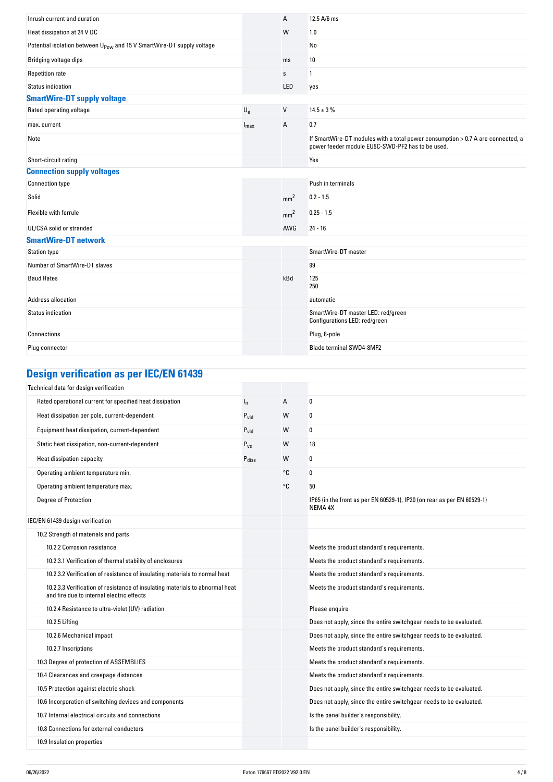| Inrush current and duration                                                       |                  | A               | 12.5 A/6 ms                                                                                                                         |
|-----------------------------------------------------------------------------------|------------------|-----------------|-------------------------------------------------------------------------------------------------------------------------------------|
| Heat dissipation at 24 V DC                                                       |                  | W               | 1.0                                                                                                                                 |
| Potential isolation between U <sub>Pow</sub> and 15 V SmartWire-DT supply voltage |                  |                 | No                                                                                                                                  |
| Bridging voltage dips                                                             |                  | ms              | 10                                                                                                                                  |
| <b>Repetition rate</b>                                                            |                  | $\mathbf S$     | $\mathbf{1}$                                                                                                                        |
| Status indication                                                                 |                  | LED             | yes                                                                                                                                 |
| <b>SmartWire-DT supply voltage</b>                                                |                  |                 |                                                                                                                                     |
| Rated operating voltage                                                           | $U_{e}$          | V               | $14.5 \pm 3 \%$                                                                                                                     |
| max. current                                                                      | $I_{\text{max}}$ | Α               | 0.7                                                                                                                                 |
| Note                                                                              |                  |                 | If SmartWire-DT modules with a total power consumption > 0.7 A are connected, a<br>power feeder module EU5C-SWD-PF2 has to be used. |
| Short-circuit rating                                                              |                  |                 | Yes                                                                                                                                 |
| <b>Connection supply voltages</b>                                                 |                  |                 |                                                                                                                                     |
| <b>Connection type</b>                                                            |                  |                 | Push in terminals                                                                                                                   |
| Solid                                                                             |                  | mm <sup>2</sup> | $0.2 - 1.5$                                                                                                                         |
| Flexible with ferrule                                                             |                  | mm <sup>2</sup> | $0.25 - 1.5$                                                                                                                        |
| UL/CSA solid or stranded                                                          |                  | AWG             | $24 - 16$                                                                                                                           |
| <b>SmartWire-DT network</b>                                                       |                  |                 |                                                                                                                                     |
| <b>Station type</b>                                                               |                  |                 | SmartWire-DT master                                                                                                                 |
| Number of SmartWire-DT slaves                                                     |                  |                 | 99                                                                                                                                  |
| <b>Baud Rates</b>                                                                 |                  | kBd             | 125<br>250                                                                                                                          |
| <b>Address allocation</b>                                                         |                  |                 | automatic                                                                                                                           |
| <b>Status indication</b>                                                          |                  |                 | SmartWire-DT master LED: red/green<br>Configurations LED: red/green                                                                 |
| Connections                                                                       |                  |                 | Plug, 8-pole                                                                                                                        |
| Plug connector                                                                    |                  |                 | <b>Blade terminal SWD4-8MF2</b>                                                                                                     |

# **Design verification as per IEC/EN 61439**

| Technical data for design verification                                                                                    |                   |    |                                                                                    |
|---------------------------------------------------------------------------------------------------------------------------|-------------------|----|------------------------------------------------------------------------------------|
| Rated operational current for specified heat dissipation                                                                  | $I_{n}$           | A  | 0                                                                                  |
| Heat dissipation per pole, current-dependent                                                                              | $P_{\text{vid}}$  | W  | 0                                                                                  |
| Equipment heat dissipation, current-dependent                                                                             | $P_{\text{vid}}$  | W  | 0                                                                                  |
| Static heat dissipation, non-current-dependent                                                                            | $P_{VS}$          | W  | 18                                                                                 |
| Heat dissipation capacity                                                                                                 | $P_{\text{diss}}$ | W  | 0                                                                                  |
| Operating ambient temperature min.                                                                                        |                   | °C | 0                                                                                  |
| Operating ambient temperature max.                                                                                        |                   | °C | 50                                                                                 |
| Degree of Protection                                                                                                      |                   |    | IP65 (in the front as per EN 60529-1), IP20 (on rear as per EN 60529-1)<br>NEMA 4X |
| IEC/EN 61439 design verification                                                                                          |                   |    |                                                                                    |
| 10.2 Strength of materials and parts                                                                                      |                   |    |                                                                                    |
| 10.2.2 Corrosion resistance                                                                                               |                   |    | Meets the product standard's requirements.                                         |
| 10.2.3.1 Verification of thermal stability of enclosures                                                                  |                   |    | Meets the product standard's requirements.                                         |
| 10.2.3.2 Verification of resistance of insulating materials to normal heat                                                |                   |    | Meets the product standard's requirements.                                         |
| 10.2.3.3 Verification of resistance of insulating materials to abnormal heat<br>and fire due to internal electric effects |                   |    | Meets the product standard's requirements.                                         |
| 10.2.4 Resistance to ultra-violet (UV) radiation                                                                          |                   |    | Please enquire                                                                     |
| 10.2.5 Lifting                                                                                                            |                   |    | Does not apply, since the entire switchgear needs to be evaluated.                 |
| 10.2.6 Mechanical impact                                                                                                  |                   |    | Does not apply, since the entire switchgear needs to be evaluated.                 |
| 10.2.7 Inscriptions                                                                                                       |                   |    | Meets the product standard's requirements.                                         |
| 10.3 Degree of protection of ASSEMBLIES                                                                                   |                   |    | Meets the product standard's requirements.                                         |
| 10.4 Clearances and creepage distances                                                                                    |                   |    | Meets the product standard's requirements.                                         |
| 10.5 Protection against electric shock                                                                                    |                   |    | Does not apply, since the entire switchgear needs to be evaluated.                 |
| 10.6 Incorporation of switching devices and components                                                                    |                   |    | Does not apply, since the entire switchgear needs to be evaluated.                 |
| 10.7 Internal electrical circuits and connections                                                                         |                   |    | Is the panel builder's responsibility.                                             |
| 10.8 Connections for external conductors                                                                                  |                   |    | Is the panel builder's responsibility.                                             |
| 10.9 Insulation properties                                                                                                |                   |    |                                                                                    |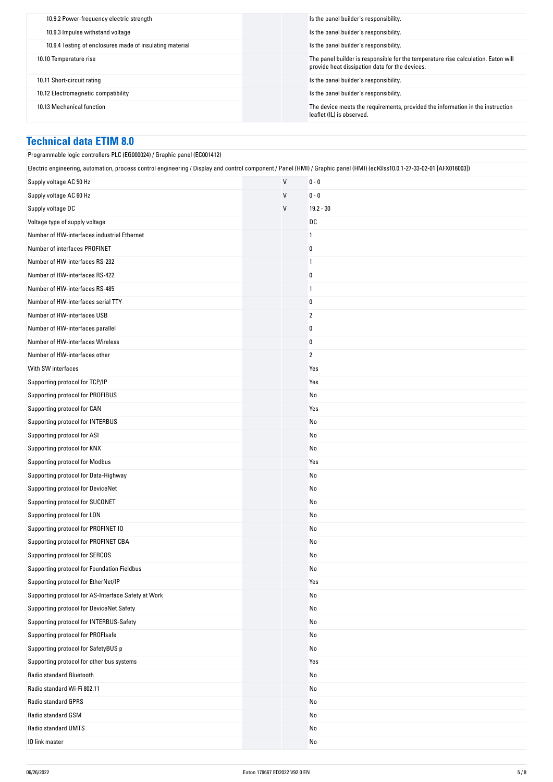| 10.9.2 Power-frequency electric strength                 | Is the panel builder's responsibility.                                                                                              |
|----------------------------------------------------------|-------------------------------------------------------------------------------------------------------------------------------------|
| 10.9.3 Impulse withstand voltage                         | Is the panel builder's responsibility.                                                                                              |
| 10.9.4 Testing of enclosures made of insulating material | Is the panel builder's responsibility.                                                                                              |
| 10.10 Temperature rise                                   | The panel builder is responsible for the temperature rise calculation. Eaton will<br>provide heat dissipation data for the devices. |
| 10.11 Short-circuit rating                               | Is the panel builder's responsibility.                                                                                              |
| 10.12 Electromagnetic compatibility                      | Is the panel builder's responsibility.                                                                                              |
| 10.13 Mechanical function                                | The device meets the requirements, provided the information in the instruction<br>leaflet (IL) is observed.                         |

# **Technical data ETIM 8.0**

| Programmable logic controllers PLC (EG000024) / Graphic panel (EC001412)                                                                                                 |   |                |  |
|--------------------------------------------------------------------------------------------------------------------------------------------------------------------------|---|----------------|--|
| Electric engineering, automation, process control engineering / Display and control component / Panel (HMI) / Graphic panel (HMI) (ecl@ss10.0.1-27-33-02-01 [AFX016003]) |   |                |  |
| Supply voltage AC 50 Hz                                                                                                                                                  | V | $0 - 0$        |  |
| Supply voltage AC 60 Hz                                                                                                                                                  | V | $0 - 0$        |  |
| Supply voltage DC                                                                                                                                                        | V | $19.2 - 30$    |  |
| Voltage type of supply voltage                                                                                                                                           |   | DC             |  |
| Number of HW-interfaces industrial Ethernet                                                                                                                              |   | 1              |  |
| Number of interfaces PROFINET                                                                                                                                            |   | 0              |  |
| Number of HW-interfaces RS-232                                                                                                                                           |   | $\overline{1}$ |  |
| Number of HW-interfaces RS-422                                                                                                                                           |   | 0              |  |
| Number of HW-interfaces RS-485                                                                                                                                           |   | $\overline{1}$ |  |
| Number of HW-interfaces serial TTY                                                                                                                                       |   | 0              |  |
| Number of HW-interfaces USB                                                                                                                                              |   | $\overline{2}$ |  |
| Number of HW-interfaces parallel                                                                                                                                         |   | 0              |  |
| Number of HW-interfaces Wireless                                                                                                                                         |   | 0              |  |
| Number of HW-interfaces other                                                                                                                                            |   | $\overline{2}$ |  |
| With SW interfaces                                                                                                                                                       |   | Yes            |  |
| Supporting protocol for TCP/IP                                                                                                                                           |   | Yes            |  |
| Supporting protocol for PROFIBUS                                                                                                                                         |   | No             |  |
| Supporting protocol for CAN                                                                                                                                              |   | Yes            |  |
| Supporting protocol for INTERBUS                                                                                                                                         |   | No             |  |
| Supporting protocol for ASI                                                                                                                                              |   | No             |  |
| Supporting protocol for KNX                                                                                                                                              |   | No             |  |
| Supporting protocol for Modbus                                                                                                                                           |   | Yes            |  |
| Supporting protocol for Data-Highway                                                                                                                                     |   | No             |  |
| Supporting protocol for DeviceNet                                                                                                                                        |   | No             |  |
| Supporting protocol for SUCONET                                                                                                                                          |   | No             |  |
| Supporting protocol for LON                                                                                                                                              |   | No             |  |
| Supporting protocol for PROFINET IO                                                                                                                                      |   | No             |  |
| Supporting protocol for PROFINET CBA                                                                                                                                     |   | No             |  |
| Supporting protocol for SERCOS                                                                                                                                           |   | No             |  |
| Supporting protocol for Foundation Fieldbus                                                                                                                              |   | No             |  |
| Supporting protocol for EtherNet/IP                                                                                                                                      |   | Yes            |  |
| Supporting protocol for AS-Interface Safety at Work                                                                                                                      |   | No             |  |
| Supporting protocol for DeviceNet Safety                                                                                                                                 |   | No             |  |
| Supporting protocol for INTERBUS-Safety                                                                                                                                  |   | No             |  |
| Supporting protocol for PROFIsafe                                                                                                                                        |   | No             |  |
| Supporting protocol for SafetyBUS p                                                                                                                                      |   | No             |  |
| Supporting protocol for other bus systems                                                                                                                                |   | Yes            |  |
| Radio standard Bluetooth                                                                                                                                                 |   | No             |  |
| Radio standard Wi-Fi 802.11                                                                                                                                              |   | No             |  |
| Radio standard GPRS                                                                                                                                                      |   | No             |  |
| Radio standard GSM                                                                                                                                                       |   | No             |  |
| Radio standard UMTS                                                                                                                                                      |   | No             |  |
| 10 link master                                                                                                                                                           |   | No             |  |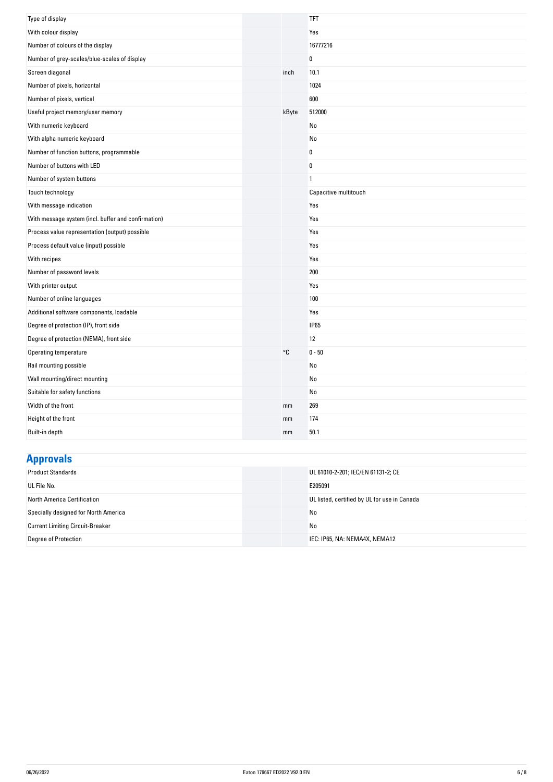| Type of display                                     |       | <b>TFT</b>            |
|-----------------------------------------------------|-------|-----------------------|
| With colour display                                 |       | Yes                   |
| Number of colours of the display                    |       | 16777216              |
| Number of grey-scales/blue-scales of display        |       | $\bf{0}$              |
| Screen diagonal                                     | inch  | 10.1                  |
| Number of pixels, horizontal                        |       | 1024                  |
| Number of pixels, vertical                          |       | 600                   |
| Useful project memory/user memory                   | kByte | 512000                |
| With numeric keyboard                               |       | No                    |
| With alpha numeric keyboard                         |       | No                    |
| Number of function buttons, programmable            |       | 0                     |
| Number of buttons with LED                          |       | $\pmb{0}$             |
| Number of system buttons                            |       | $\mathbf{1}$          |
| Touch technology                                    |       | Capacitive multitouch |
| With message indication                             |       | Yes                   |
| With message system (incl. buffer and confirmation) |       | Yes                   |
| Process value representation (output) possible      |       | Yes                   |
| Process default value (input) possible              |       | Yes                   |
| With recipes                                        |       | Yes                   |
| Number of password levels                           |       | 200                   |
| With printer output                                 |       | Yes                   |
| Number of online languages                          |       | 100                   |
| Additional software components, loadable            |       | Yes                   |
| Degree of protection (IP), front side               |       | <b>IP65</b>           |
| Degree of protection (NEMA), front side             |       | 12                    |
| Operating temperature                               | °C    | $0 - 50$              |
| Rail mounting possible                              |       | No                    |
| Wall mounting/direct mounting                       |       | No                    |
| Suitable for safety functions                       |       | No                    |
| Width of the front                                  | mm    | 269                   |
| Height of the front                                 | mm    | 174                   |
| Built-in depth                                      | mm    | 50.1                  |

# **Approvals**

| <b>Product Standards</b>                | UL 61010-2-201; IEC/EN 61131-2; CE           |
|-----------------------------------------|----------------------------------------------|
| UL File No.                             | E205091                                      |
| North America Certification             | UL listed, certified by UL for use in Canada |
| Specially designed for North America    | No                                           |
| <b>Current Limiting Circuit-Breaker</b> | No                                           |
| Degree of Protection                    | IEC: IP65, NA: NEMA4X, NEMA12                |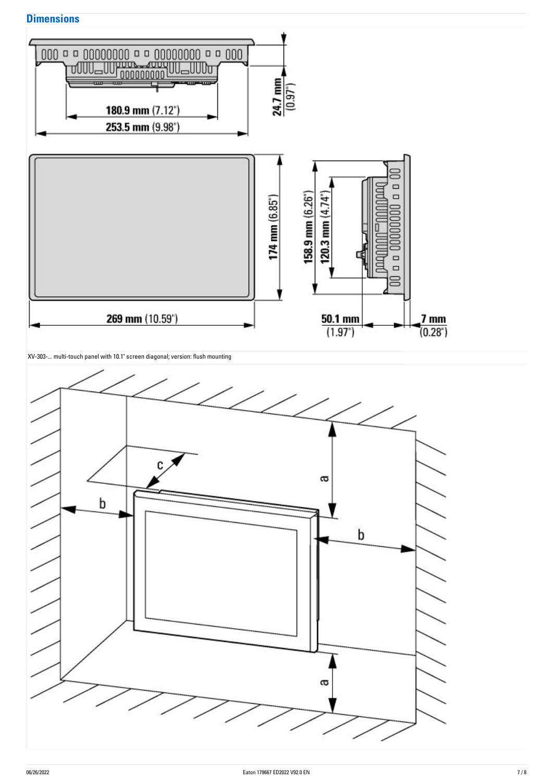## **Dimensions**